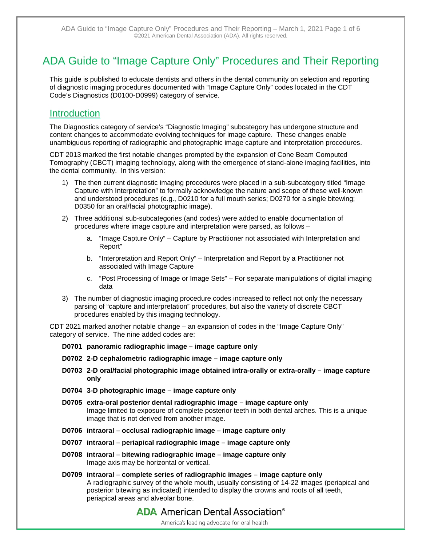# ADA Guide to "Image Capture Only" Procedures and Their Reporting

This guide is published to educate dentists and others in the dental community on selection and reporting of diagnostic imaging procedures documented with "Image Capture Only" codes located in the CDT Code's Diagnostics (D0100-D0999) category of service.

## **Introduction**

The Diagnostics category of service's "Diagnostic Imaging" subcategory has undergone structure and content changes to accommodate evolving techniques for image capture. These changes enable unambiguous reporting of radiographic and photographic image capture and interpretation procedures.

CDT 2013 marked the first notable changes prompted by the expansion of Cone Beam Computed Tomography (CBCT) imaging technology, along with the emergence of stand-alone imaging facilities, into the dental community. In this version:

- 1) The then current diagnostic imaging procedures were placed in a sub-subcategory titled "Image Capture with Interpretation" to formally acknowledge the nature and scope of these well-known and understood procedures (e.g., D0210 for a full mouth series; D0270 for a single bitewing; D0350 for an oral/facial photographic image).
- 2) Three additional sub-subcategories (and codes) were added to enable documentation of procedures where image capture and interpretation were parsed, as follows –
	- a. "Image Capture Only" Capture by Practitioner not associated with Interpretation and Report"
	- b. "Interpretation and Report Only" Interpretation and Report by a Practitioner not associated with Image Capture
	- c. "Post Processing of Image or Image Sets" For separate manipulations of digital imaging data
- 3) The number of diagnostic imaging procedure codes increased to reflect not only the necessary parsing of "capture and interpretation" procedures, but also the variety of discrete CBCT procedures enabled by this imaging technology.

CDT 2021 marked another notable change – an expansion of codes in the "Image Capture Only" category of service. The nine added codes are:

- **D0701 panoramic radiographic image image capture only**
- **D0702 2-D cephalometric radiographic image image capture only**
- **D0703 2-D oral/facial photographic image obtained intra-orally or extra-orally image capture only**
- **D0704 3-D photographic image image capture only**
- **D0705 extra-oral posterior dental radiographic image image capture only** Image limited to exposure of complete posterior teeth in both dental arches. This is a unique image that is not derived from another image.
- **D0706 intraoral occlusal radiographic image image capture only**
- **D0707 intraoral periapical radiographic image image capture only**
- **D0708 intraoral bitewing radiographic image image capture only** Image axis may be horizontal or vertical.

**D0709 intraoral – complete series of radiographic images – image capture only** A radiographic survey of the whole mouth, usually consisting of 14-22 images (periapical and posterior bitewing as indicated) intended to display the crowns and roots of all teeth, periapical areas and alveolar bone.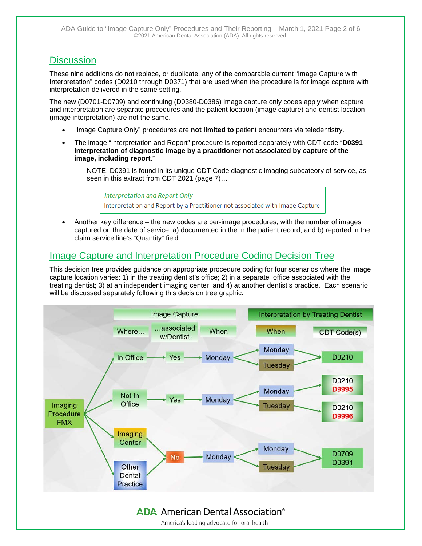## **Discussion**

These nine additions do not replace, or duplicate, any of the comparable current "Image Capture with Interpretation" codes (D0210 through D0371) that are used when the procedure is for image capture with interpretation delivered in the same setting.

The new (D0701-D0709) and continuing (D0380-D0386) image capture only codes apply when capture and interpretation are separate procedures and the patient location (image capture) and dentist location (image interpretation) are not the same.

- "Image Capture Only" procedures are **not limited to** patient encounters via teledentistry.
- The image "Interpretation and Report" procedure is reported separately with CDT code "**D0391 interpretation of diagnostic image by a practitioner not associated by capture of the image, including report**."

NOTE: D0391 is found in its unique CDT Code diagnostic imaging subcateory of service, as seen in this extract from CDT 2021 (page 7)...

**Interpretation and Report Only** Interpretation and Report by a Practitioner not associated with Image Capture

• Another key difference – the new codes are per-image procedures, with the number of images captured on the date of service: a) documented in the in the patient record; and b) reported in the claim service line's "Quantity" field.

## Image Capture and Interpretation Procedure Coding Decision Tree

This decision tree provides guidance on appropriate procedure coding for four scenarios where the image capture location varies: 1) in the treating dentist's office; 2) in a separate office associated with the treating dentist; 3) at an independent imaging center; and 4) at another dentist's practice. Each scenario will be discussed separately following this decision tree graphic.

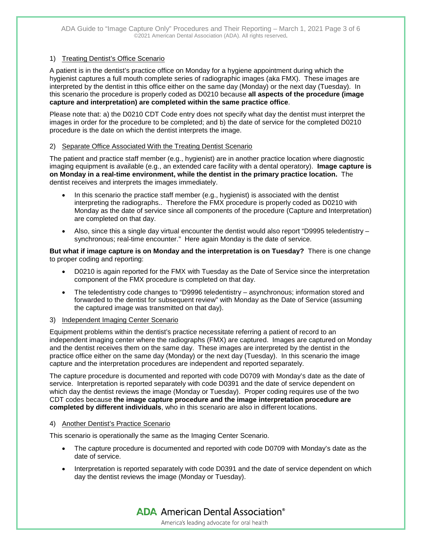#### 1) Treating Dentist's Office Scenario

A patient is in the dentist's practice office on Monday for a hygiene appointment during which the hygienist captures a full mouth complete series of radiographic images (aka FMX). These images are interpreted by the dentist in tthis office either on the same day (Monday) or the next day (Tuesday). In this scenario the procedure is properly coded as D0210 because **all aspects of the procedure (image capture and interpretation) are completed within the same practice office**.

Please note that: a) the D0210 CDT Code entry does not specify what day the dentist must interpret the images in order for the procedure to be completed; and b) the date of service for the completed D0210 procedure is the date on which the dentist interprets the image.

#### 2) Separate Office Associated With the Treating Dentist Scenario

The patient and practice staff member (e.g., hygienist) are in another practice location where diagnostic imaging equipment is available (e.g., an extended care facility with a dental operatory). **Image capture is on Monday in a real-time environment, while the dentist in the primary practice location.** The dentist receives and interprets the images immediately.

- In this scenario the practice staff member (e.g., hygienist) is associated with the dentist interpreting the radiographs.. Therefore the FMX procedure is properly coded as D0210 with Monday as the date of service since all components of the procedure (Capture and Interpretation) are completed on that day.
- Also, since this a single day virtual encounter the dentist would also report "D9995 teledentistry synchronous; real-time encounter." Here again Monday is the date of service.

**But what if image capture is on Monday and the interpretation is on Tuesday?** There is one change to proper coding and reporting:

- D0210 is again reported for the FMX with Tuesday as the Date of Service since the interpretation component of the FMX procedure is completed on that day.
- The teledentistry code changes to "D9996 teledentistry asynchronous; information stored and forwarded to the dentist for subsequent review" with Monday as the Date of Service (assuming the captured image was transmitted on that day).

#### 3) Independent Imaging Center Scenario

Equipment problems within the dentist's practice necessitate referring a patient of record to an independent imaging center where the radiographs (FMX) are captured. Images are captured on Monday and the dentist receives them on the same day. These images are interpreted by the dentist in the practice office either on the same day (Monday) or the next day (Tuesday). In this scenario the image capture and the interpretation procedures are independent and reported separately.

The capture procedure is documented and reported with code D0709 with Monday's date as the date of service. Interpretation is reported separately with code D0391 and the date of service dependent on which day the dentist reviews the image (Monday or Tuesday). Proper coding requires use of the two CDT codes because **the image capture procedure and the image interpretation procedure are completed by different individuals**, who in this scenario are also in different locations.

#### 4) Another Dentist's Practice Scenario

This scenario is operationally the same as the Imaging Center Scenario.

- The capture procedure is documented and reported with code D0709 with Monday's date as the date of service.
- Interpretation is reported separately with code D0391 and the date of service dependent on which day the dentist reviews the image (Monday or Tuesday).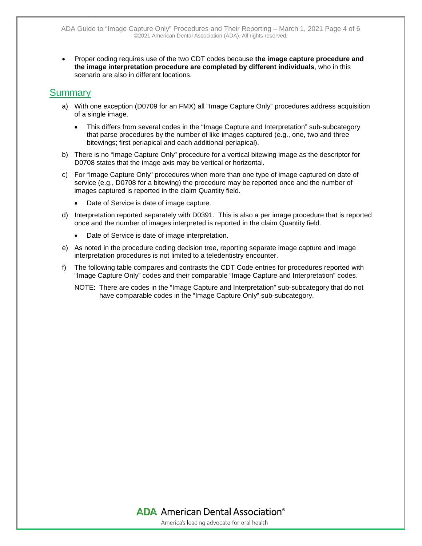• Proper coding requires use of the two CDT codes because **the image capture procedure and the image interpretation procedure are completed by different individuals**, who in this scenario are also in different locations.

### **Summary**

- a) With one exception (D0709 for an FMX) all "Image Capture Only" procedures address acquisition of a single image.
	- This differs from several codes in the "Image Capture and Interpretation" sub-subcategory that parse procedures by the number of like images captured (e.g., one, two and three bitewings; first periapical and each additional periapical).
- b) There is no "Image Capture Only" procedure for a vertical bitewing image as the descriptor for D0708 states that the image axis may be vertical or horizontal.
- c) For "Image Capture Only" procedures when more than one type of image captured on date of service (e.g., D0708 for a bitewing) the procedure may be reported once and the number of images captured is reported in the claim Quantity field.
	- Date of Service is date of image capture.
- d) Interpretation reported separately with D0391. This is also a per image procedure that is reported once and the number of images interpreted is reported in the claim Quantity field.
	- Date of Service is date of image interpretation.
- e) As noted in the procedure coding decision tree, reporting separate image capture and image interpretation procedures is not limited to a teledentistry encounter.
- f) The following table compares and contrasts the CDT Code entries for procedures reported with "Image Capture Only" codes and their comparable "Image Capture and Interpretation" codes.
	- NOTE: There are codes in the "Image Capture and Interpretation" sub-subcategory that do not have comparable codes in the "Image Capture Only" sub-subcategory.

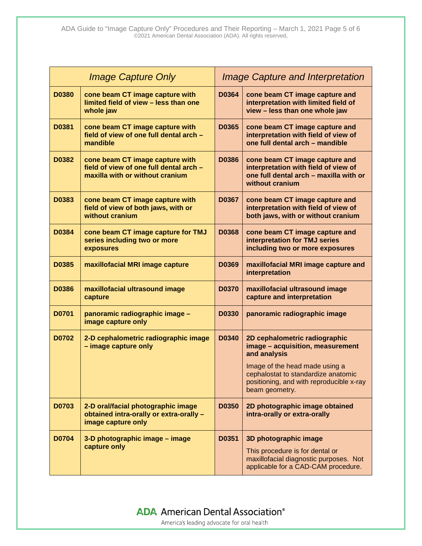| <b>Image Capture Only</b> |                                                                                                               | <b>Image Capture and Interpretation</b> |                                                                                                                                           |
|---------------------------|---------------------------------------------------------------------------------------------------------------|-----------------------------------------|-------------------------------------------------------------------------------------------------------------------------------------------|
| <b>D0380</b>              | cone beam CT image capture with<br>limited field of view - less than one<br>whole jaw                         | D0364                                   | cone beam CT image capture and<br>interpretation with limited field of<br>view - less than one whole jaw                                  |
| D0381                     | cone beam CT image capture with<br>field of view of one full dental arch -<br>mandible                        | D0365                                   | cone beam CT image capture and<br>interpretation with field of view of<br>one full dental arch - mandible                                 |
| D0382                     | cone beam CT image capture with<br>field of view of one full dental arch -<br>maxilla with or without cranium | <b>D0386</b>                            | cone beam CT image capture and<br>interpretation with field of view of<br>one full dental arch - maxilla with or<br>without cranium       |
| D0383                     | cone beam CT image capture with<br>field of view of both jaws, with or<br>without cranium                     | D0367                                   | cone beam CT image capture and<br>interpretation with field of view of<br>both jaws, with or without cranium                              |
| D0384                     | cone beam CT image capture for TMJ<br>series including two or more<br>exposures                               | <b>D0368</b>                            | cone beam CT image capture and<br>interpretation for TMJ series<br>including two or more exposures                                        |
| D0385                     | maxillofacial MRI image capture                                                                               | D0369                                   | maxillofacial MRI image capture and<br>interpretation                                                                                     |
| <b>D0386</b>              | maxillofacial ultrasound image<br>capture                                                                     | D0370                                   | maxillofacial ultrasound image<br>capture and interpretation                                                                              |
| D0701                     | panoramic radiographic image -<br>image capture only                                                          | <b>D0330</b>                            | panoramic radiographic image                                                                                                              |
| <b>D0702</b>              | 2-D cephalometric radiographic image<br>- image capture only                                                  | D0340                                   | 2D cephalometric radiographic<br>image - acquisition, measurement<br>and analysis                                                         |
|                           |                                                                                                               |                                         | Image of the head made using a<br>cephalostat to standardize anatomic<br>positioning, and with reproducible x-ray<br>beam geometry.       |
| D0703                     | 2-D oral/facial photographic image<br>obtained intra-orally or extra-orally -<br>image capture only           | D0350                                   | 2D photographic image obtained<br>intra-orally or extra-orally                                                                            |
| <b>D0704</b>              | 3-D photographic image - image<br>capture only                                                                | D0351                                   | 3D photographic image<br>This procedure is for dental or<br>maxillofacial diagnostic purposes. Not<br>applicable for a CAD-CAM procedure. |